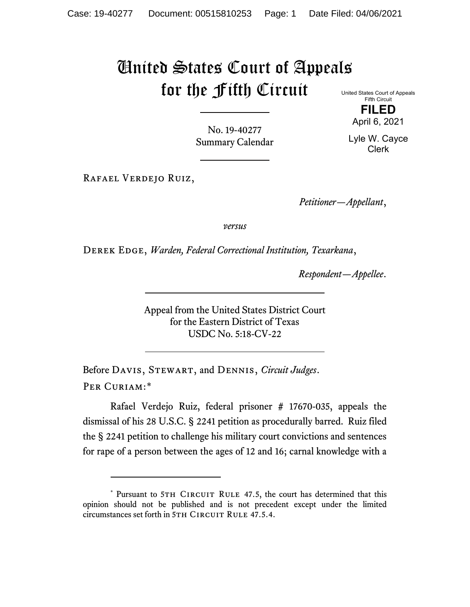## United States Court of Appeals for the Fifth Circuit

United States Court of Appeals Fifth Circuit **FILED**

April 6, 2021

Lyle W. Cayce Clerk

No. 19-40277 Summary Calendar

Rafael Verdejo Ruiz,

*Petitioner—Appellant*,

*versus*

Derek Edge, *Warden, Federal Correctional Institution, Texarkana*,

*Respondent—Appellee*.

Appeal from the United States District Court for the Eastern District of Texas USDC No. 5:18-CV-22

Before Davis, Stewart, and Dennis, *Circuit Judges*. Per Curiam:[\\*](#page-0-0)

Rafael Verdejo Ruiz, federal prisoner # 17670-035, appeals the dismissal of his 28 U.S.C. § 2241 petition as procedurally barred. Ruiz filed the § 2241 petition to challenge his military court convictions and sentences for rape of a person between the ages of 12 and 16; carnal knowledge with a

<span id="page-0-0"></span><sup>\*</sup> Pursuant to 5TH CIRCUIT RULE 47.5, the court has determined that this opinion should not be published and is not precedent except under the limited circumstances set forth in 5TH CIRCUIT RULE 47.5.4.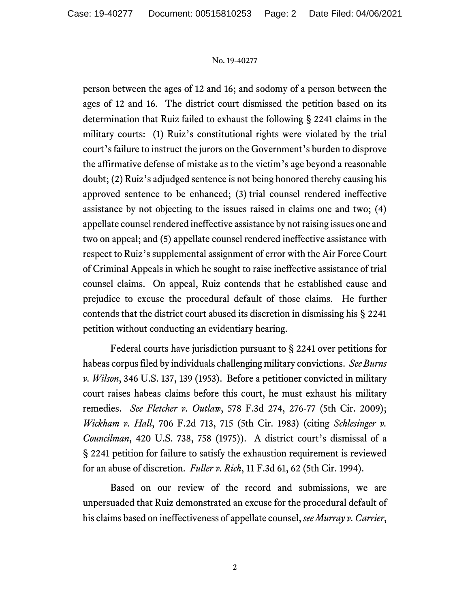## No. 19-40277

person between the ages of 12 and 16; and sodomy of a person between the ages of 12 and 16. The district court dismissed the petition based on its determination that Ruiz failed to exhaust the following § 2241 claims in the military courts: (1) Ruiz's constitutional rights were violated by the trial court's failure to instruct the jurors on the Government's burden to disprove the affirmative defense of mistake as to the victim's age beyond a reasonable doubt; (2) Ruiz's adjudged sentence is not being honored thereby causing his approved sentence to be enhanced; (3) trial counsel rendered ineffective assistance by not objecting to the issues raised in claims one and two; (4) appellate counsel rendered ineffective assistance by not raising issues one and two on appeal; and (5) appellate counsel rendered ineffective assistance with respect to Ruiz's supplemental assignment of error with the Air Force Court of Criminal Appeals in which he sought to raise ineffective assistance of trial counsel claims. On appeal, Ruiz contends that he established cause and prejudice to excuse the procedural default of those claims. He further contends that the district court abused its discretion in dismissing his § 2241 petition without conducting an evidentiary hearing.

Federal courts have jurisdiction pursuant to § 2241 over petitions for habeas corpus filed by individuals challenging military convictions. *See Burns v. Wilson*, 346 U.S. 137, 139 (1953). Before a petitioner convicted in military court raises habeas claims before this court, he must exhaust his military remedies. *See Fletcher v. Outlaw*, 578 F.3d 274, 276-77 (5th Cir. 2009); *Wickham v. Hall*, 706 F.2d 713, 715 (5th Cir. 1983) (citing *Schlesinger v. Councilman*, 420 U.S. 738, 758 (1975)). A district court's dismissal of a § 2241 petition for failure to satisfy the exhaustion requirement is reviewed for an abuse of discretion. *Fuller v. Rich*, 11 F.3d 61, 62 (5th Cir. 1994).

Based on our review of the record and submissions, we are unpersuaded that Ruiz demonstrated an excuse for the procedural default of his claims based on ineffectiveness of appellate counsel, *see Murray v. Carrier*,